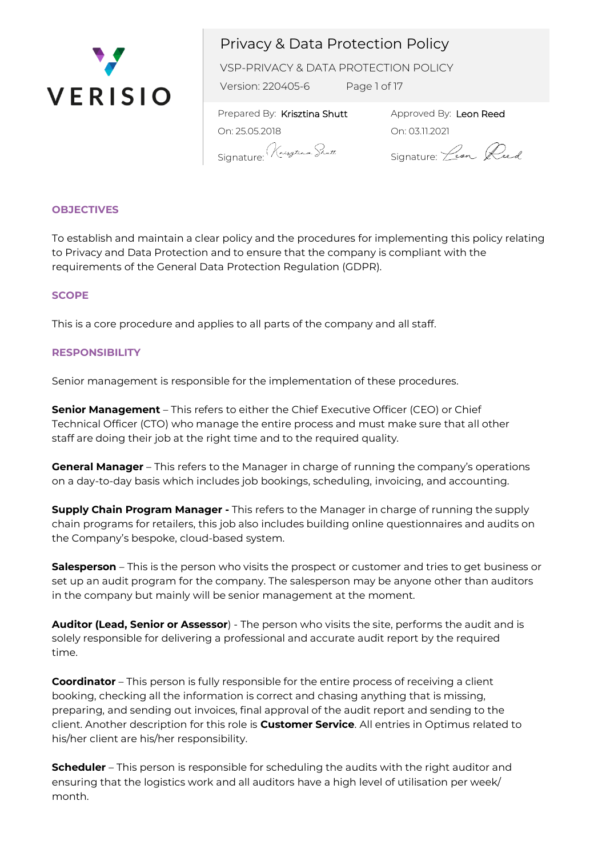

VSP-PRIVACY & DATA PROTECTION POLICY

Version: 220405-6 Page 1 of 17

 Prepared By: Krisztina Shutt On: 25.05.2018 Signature: Krytham Shutt

Approved By: Leon Reed On: 03.11.2021

Signature: *Leon* Reed

### **OBJECTIVES**

To establish and maintain a clear policy and the procedures for implementing this policy relating to Privacy and Data Protection and to ensure that the company is compliant with the requirements of the General Data Protection Regulation (GDPR).

### **SCOPE**

This is a core procedure and applies to all parts of the company and all staff.

### **RESPONSIBILITY**

Senior management is responsible for the implementation of these procedures.

**Senior Management** – This refers to either the Chief Executive Officer (CEO) or Chief Technical Officer (CTO) who manage the entire process and must make sure that all other staff are doing their job at the right time and to the required quality.

**General Manager** – This refers to the Manager in charge of running the company's operations on a day-to-day basis which includes job bookings, scheduling, invoicing, and accounting.

**Supply Chain Program Manager -** This refers to the Manager in charge of running the supply chain programs for retailers, this job also includes building online questionnaires and audits on the Company's bespoke, cloud-based system.

**Salesperson** – This is the person who visits the prospect or customer and tries to get business or set up an audit program for the company. The salesperson may be anyone other than auditors in the company but mainly will be senior management at the moment.

**Auditor (Lead, Senior or Assessor**) - The person who visits the site, performs the audit and is solely responsible for delivering a professional and accurate audit report by the required time.

**Coordinator** – This person is fully responsible for the entire process of receiving a client booking, checking all the information is correct and chasing anything that is missing, preparing, and sending out invoices, final approval of the audit report and sending to the client. Another description for this role is **Customer Service**. All entries in Optimus related to his/her client are his/her responsibility.

**Scheduler** – This person is responsible for scheduling the audits with the right auditor and ensuring that the logistics work and all auditors have a high level of utilisation per week/ month.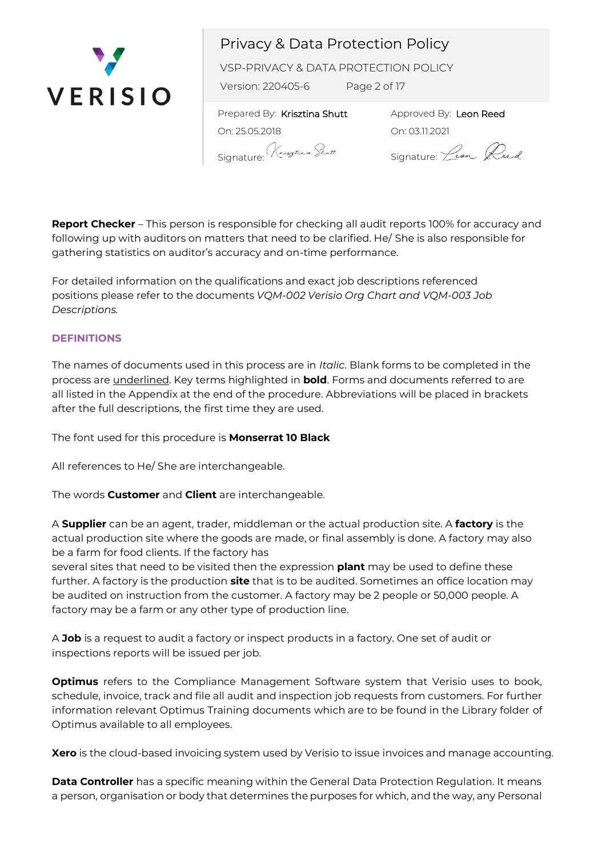

VSP-PRIVACY & DATA PROTECTION POLICY

Version: 220405-6 Page 2 of 17

 Prepared By: Krisztina Shutt On: 25.05.2018 Signature: Krytenn Shutt

Approved By: Leon Reed On: 03.11.2021

Signature: *Leon* Reed

**Report Checker** – This person is responsible for checking all audit reports 100% for accuracy and following up with auditors on matters that need to be clarified. He/ She is also responsible for gathering statistics on auditor's accuracy and on-time performance.

For detailed information on the qualifications and exact job descriptions referenced positions please refer to the documents *VQM-002 Verisio Org Chart and VQM-003 Job Descriptions.*

### **DEFINITIONS**

The names of documents used in this process are in *Italic*. Blank forms to be completed in the process are underlined. Key terms highlighted in **bold**. Forms and documents referred to are all listed in the Appendix at the end of the procedure. Abbreviations will be placed in brackets after the full descriptions, the first time they are used.

The font used for this procedure is **Monserrat 10 Black**

All references to He/ She are interchangeable.

The words **Customer** and **Client** are interchangeable.

A **Supplier** can be an agent, trader, middleman or the actual production site. A **factory** is the actual production site where the goods are made, or final assembly is done. A factory may also be a farm for food clients. If the factory has

several sites that need to be visited then the expression **plant** may be used to define these further. A factory is the production **site** that is to be audited. Sometimes an office location may be audited on instruction from the customer. A factory may be 2 people or 50,000 people. A factory may be a farm or any other type of production line.

A **Job** is a request to audit a factory or inspect products in a factory. One set of audit or inspections reports will be issued per job.

**Optimus** refers to the Compliance Management Software system that Verisio uses to book, schedule, invoice, track and file all audit and inspection job requests from customers. For further information relevant Optimus Training documents which are to be found in the Library folder of Optimus available to all employees.

**Xero** is the cloud-based invoicing system used by Verisio to issue invoices and manage accounting.

**Data Controller** has a specific meaning within the General Data Protection Regulation. It means a person, organisation or body that determines the purposes for which, and the way, any Personal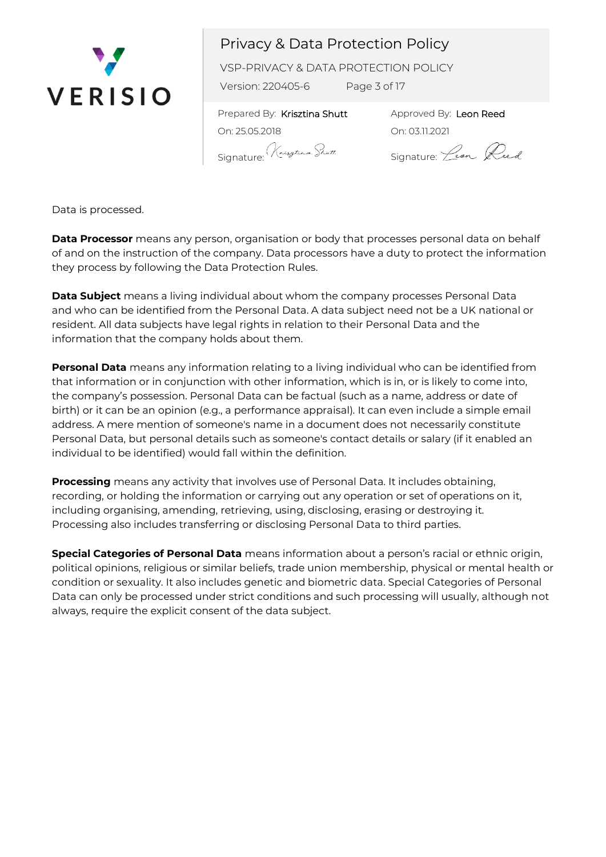

VSP-PRIVACY & DATA PROTECTION POLICY

Version: 220405-6 Page 3 of 17

 Prepared By: Krisztina Shutt On: 25.05.2018 Signature: Krythan Shutt

Approved By: Leon Reed On: 03.11.2021

Signature: *Lean* Reed

Data is processed.

**Data Processor** means any person, organisation or body that processes personal data on behalf of and on the instruction of the company. Data processors have a duty to protect the information they process by following the Data Protection Rules.

**Data Subject** means a living individual about whom the company processes Personal Data and who can be identified from the Personal Data. A data subject need not be a UK national or resident. All data subjects have legal rights in relation to their Personal Data and the information that the company holds about them.

**Personal Data** means any information relating to a living individual who can be identified from that information or in conjunction with other information, which is in, or is likely to come into, the company's possession. Personal Data can be factual (such as a name, address or date of birth) or it can be an opinion (e.g., a performance appraisal). It can even include a simple email address. A mere mention of someone's name in a document does not necessarily constitute Personal Data, but personal details such as someone's contact details or salary (if it enabled an individual to be identified) would fall within the definition.

**Processing** means any activity that involves use of Personal Data. It includes obtaining, recording, or holding the information or carrying out any operation or set of operations on it, including organising, amending, retrieving, using, disclosing, erasing or destroying it. Processing also includes transferring or disclosing Personal Data to third parties.

**Special Categories of Personal Data** means information about a person's racial or ethnic origin, political opinions, religious or similar beliefs, trade union membership, physical or mental health or condition or sexuality. It also includes genetic and biometric data. Special Categories of Personal Data can only be processed under strict conditions and such processing will usually, although not always, require the explicit consent of the data subject.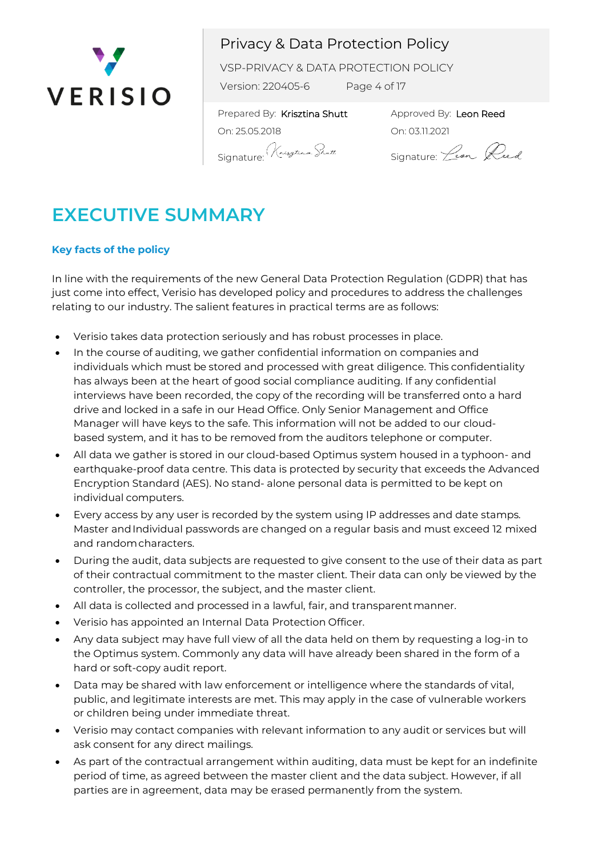

VSP-PRIVACY & DATA PROTECTION POLICY

Version: 220405-6 Page 4 of 17

 Prepared By: Krisztina Shutt On: 25.05.2018 Signature<sup>:</sup> Kneszterm. Shutt.

Approved By: Leon Reed On: 03.11.2021

Signature: *Lean* Reed

# **EXECUTIVE SUMMARY**

## **Key facts of the policy**

In line with the requirements of the new General Data Protection Regulation (GDPR) that has just come into effect, Verisio has developed policy and procedures to address the challenges relating to our industry. The salient features in practical terms are as follows:

- Verisio takes data protection seriously and has robust processes in place.
- In the course of auditing, we gather confidential information on companies and individuals which must be stored and processed with great diligence. This confidentiality has always been at the heart of good social compliance auditing. If any confidential interviews have been recorded, the copy of the recording will be transferred onto a hard drive and locked in a safe in our Head Office. Only Senior Management and Office Manager will have keys to the safe. This information will not be added to our cloudbased system, and it has to be removed from the auditors telephone or computer.
- All data we gather is stored in our cloud-based Optimus system housed in a typhoon- and earthquake-proof data centre. This data is protected by security that exceeds the Advanced Encryption Standard (AES). No stand- alone personal data is permitted to be kept on individual computers.
- Every access by any user is recorded by the system using IP addresses and date stamps. Master andIndividual passwords are changed on a regular basis and must exceed 12 mixed and randomcharacters.
- During the audit, data subjects are requested to give consent to the use of their data as part of their contractual commitment to the master client. Their data can only be viewed by the controller, the processor, the subject, and the master client.
- All data is collected and processed in a lawful, fair, and transparentmanner.
- Verisio has appointed an Internal Data Protection Officer.
- Any data subject may have full view of all the data held on them by requesting a log-in to the Optimus system. Commonly any data will have already been shared in the form of a hard or soft-copy audit report.
- Data may be shared with law enforcement or intelligence where the standards of vital, public, and legitimate interests are met. This may apply in the case of vulnerable workers or children being under immediate threat.
- Verisio may contact companies with relevant information to any audit or services but will ask consent for any direct mailings.
- As part of the contractual arrangement within auditing, data must be kept for an indefinite period of time, as agreed between the master client and the data subject. However, if all parties are in agreement, data may be erased permanently from the system.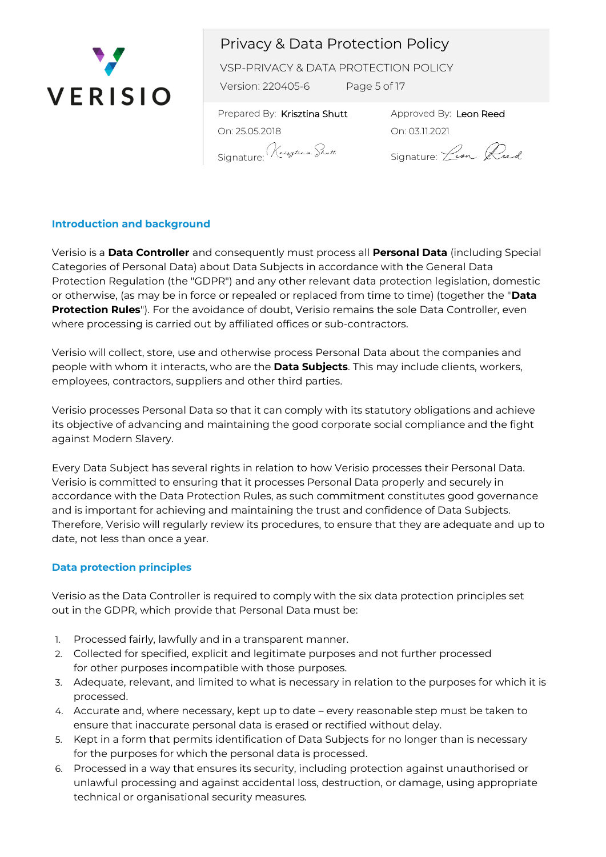

VSP-PRIVACY & DATA PROTECTION POLICY

Version: 220405-6 Page 5 of 17

 Prepared By: Krisztina Shutt On: 25.05.2018 Signature: Krythan Shutt

Approved By: Leon Reed On: 03.11.2021

Signature: *Lean* Reed

### **Introduction and background**

Verisio is a **Data Controller** and consequently must process all **Personal Data** (including Special Categories of Personal Data) about Data Subjects in accordance with the General Data Protection Regulation (the "GDPR") and any other relevant data protection legislation, domestic or otherwise, (as may be in force or repealed or replaced from time to time) (together the "**Data Protection Rules**"). For the avoidance of doubt, Verisio remains the sole Data Controller, even where processing is carried out by affiliated offices or sub-contractors.

Verisio will collect, store, use and otherwise process Personal Data about the companies and people with whom it interacts, who are the **Data Subjects**. This may include clients, workers, employees, contractors, suppliers and other third parties.

Verisio processes Personal Data so that it can comply with its statutory obligations and achieve its objective of advancing and maintaining the good corporate social compliance and the fight against Modern Slavery.

Every Data Subject has several rights in relation to how Verisio processes their Personal Data. Verisio is committed to ensuring that it processes Personal Data properly and securely in accordance with the Data Protection Rules, as such commitment constitutes good governance and is important for achieving and maintaining the trust and confidence of Data Subjects. Therefore, Verisio will regularly review its procedures, to ensure that they are adequate and up to date, not less than once a year.

### **Data protection principles**

Verisio as the Data Controller is required to comply with the six data protection principles set out in the GDPR, which provide that Personal Data must be:

- 1. Processed fairly, lawfully and in a transparent manner.
- 2. Collected for specified, explicit and legitimate purposes and not further processed for other purposes incompatible with those purposes.
- 3. Adequate, relevant, and limited to what is necessary in relation to the purposes for which it is processed.
- 4. Accurate and, where necessary, kept up to date every reasonable step must be taken to ensure that inaccurate personal data is erased or rectified without delay.
- 5. Kept in a form that permits identification of Data Subjects for no longer than is necessary for the purposes for which the personal data is processed.
- 6. Processed in a way that ensures its security, including protection against unauthorised or unlawful processing and against accidental loss, destruction, or damage, using appropriate technical or organisational security measures.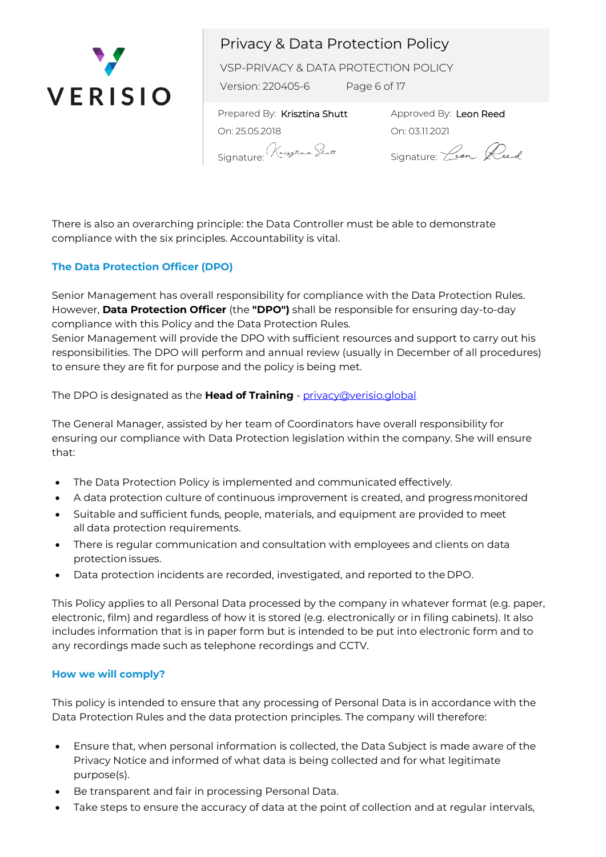

VSP-PRIVACY & DATA PROTECTION POLICY

Version: 220405-6 Page 6 of 17

 Prepared By: Krisztina Shutt On: 25.05.2018 Signature: Krythan Shutt

Approved By: Leon Reed On: 03.11.2021

Signature: *Leon* Reed

There is also an overarching principle: the Data Controller must be able to demonstrate compliance with the six principles. Accountability is vital.

## **The Data Protection Officer (DPO)**

Senior Management has overall responsibility for compliance with the Data Protection Rules. However, **Data Protection Officer** (the **"DPO")** shall be responsible for ensuring day-to-day compliance with this Policy and the Data Protection Rules.

Senior Management will provide the DPO with sufficient resources and support to carry out his responsibilities. The DPO will perform and annual review (usually in December of all procedures) to ensure they are fit for purpose and the policy is being met.

The DPO is designated as the **Head of Training** - [privacy@verisio.global](mailto:privacy@verisio.global)

The General Manager, assisted by her team of Coordinators have overall responsibility for ensuring our compliance with Data Protection legislation within the company. She will ensure that:

- The Data Protection Policy is implemented and communicated effectively.
- A data protection culture of continuous improvement is created, and progressmonitored
- Suitable and sufficient funds, people, materials, and equipment are provided to meet all data protection requirements.
- There is regular communication and consultation with employees and clients on data protection issues.
- Data protection incidents are recorded, investigated, and reported to the DPO.

This Policy applies to all Personal Data processed by the company in whatever format (e.g. paper, electronic, film) and regardless of how it is stored (e.g. electronically or in filing cabinets). It also includes information that is in paper form but is intended to be put into electronic form and to any recordings made such as telephone recordings and CCTV.

### **How we will comply?**

This policy is intended to ensure that any processing of Personal Data is in accordance with the Data Protection Rules and the data protection principles. The company will therefore:

- Ensure that, when personal information is collected, the Data Subject is made aware of the Privacy Notice and informed of what data is being collected and for what legitimate purpose(s).
- Be transparent and fair in processing Personal Data.
- Take steps to ensure the accuracy of data at the point of collection and at regular intervals,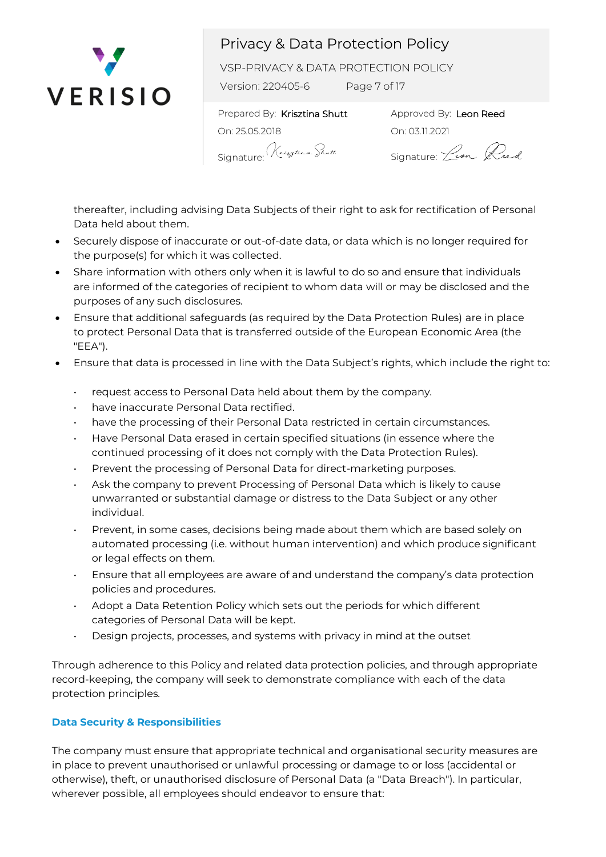

VSP-PRIVACY & DATA PROTECTION POLICY

Version: 220405-6 Page 7 of 17

 Prepared By: Krisztina Shutt On: 25.05.2018 Signature<sup>.</sup> Kryten Shutt

Approved By: Leon Reed On: 03.11.2021

Signature: *Lean* Reed

thereafter, including advising Data Subjects of their right to ask for rectification of Personal Data held about them.

- Securely dispose of inaccurate or out-of-date data, or data which is no longer required for the purpose(s) for which it was collected.
- Share information with others only when it is lawful to do so and ensure that individuals are informed of the categories of recipient to whom data will or may be disclosed and the purposes of any such disclosures.
- Ensure that additional safeguards (as required by the Data Protection Rules) are in place to protect Personal Data that is transferred outside of the European Economic Area (the "EEA").
- Ensure that data is processed in line with the Data Subject's rights, which include the right to:
	- request access to Personal Data held about them by the company.
	- have inaccurate Personal Data rectified.
	- have the processing of their Personal Data restricted in certain circumstances.
	- Have Personal Data erased in certain specified situations (in essence where the continued processing of it does not comply with the Data Protection Rules).
	- Prevent the processing of Personal Data for direct-marketing purposes.
	- Ask the company to prevent Processing of Personal Data which is likely to cause unwarranted or substantial damage or distress to the Data Subject or any other individual.
	- Prevent, in some cases, decisions being made about them which are based solely on automated processing (i.e. without human intervention) and which produce significant or legal effects on them.
	- Ensure that all employees are aware of and understand the company's data protection policies and procedures.
	- Adopt a Data Retention Policy which sets out the periods for which different categories of Personal Data will be kept.
	- Design projects, processes, and systems with privacy in mind at the outset

Through adherence to this Policy and related data protection policies, and through appropriate record-keeping, the company will seek to demonstrate compliance with each of the data protection principles.

## **Data Security & Responsibilities**

The company must ensure that appropriate technical and organisational security measures are in place to prevent unauthorised or unlawful processing or damage to or loss (accidental or otherwise), theft, or unauthorised disclosure of Personal Data (a "Data Breach"). In particular, wherever possible, all employees should endeavor to ensure that: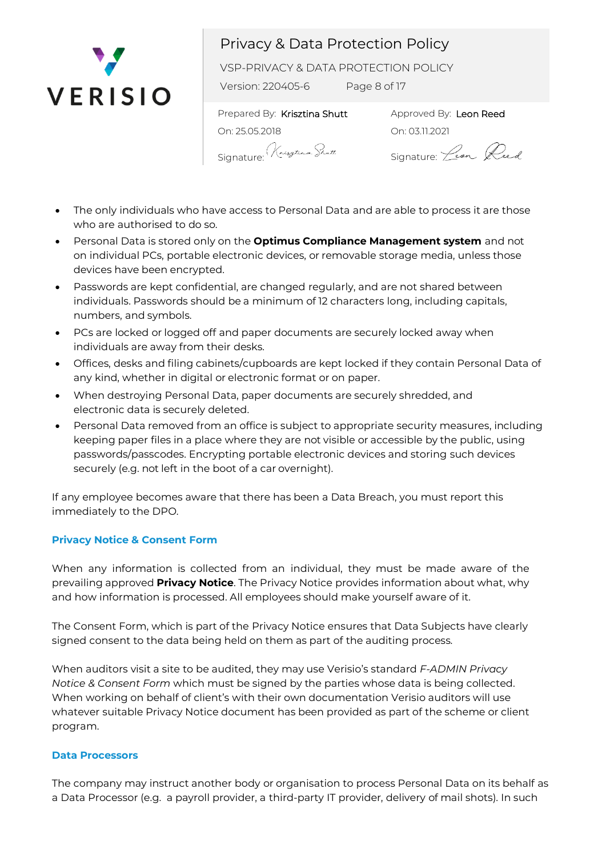

VSP-PRIVACY & DATA PROTECTION POLICY

Version: 220405-6 Page 8 of 17

 Prepared By: Krisztina Shutt On: 25.05.2018 Signature: Kryten Shutt

Approved By: Leon Reed On: 03.11.2021

Signature: *Lean* Reed

- The only individuals who have access to Personal Data and are able to process it are those who are authorised to do so.
- Personal Data is stored only on the **Optimus Compliance Management system** and not on individual PCs, portable electronic devices, or removable storage media, unless those devices have been encrypted.
- Passwords are kept confidential, are changed regularly, and are not shared between individuals. Passwords should be a minimum of 12 characters long, including capitals, numbers, and symbols.
- PCs are locked or logged off and paper documents are securely locked away when individuals are away from their desks.
- Offices, desks and filing cabinets/cupboards are kept locked if they contain Personal Data of any kind, whether in digital or electronic format or on paper.
- When destroying Personal Data, paper documents are securely shredded, and electronic data is securely deleted.
- Personal Data removed from an office is subject to appropriate security measures, including keeping paper files in a place where they are not visible or accessible by the public, using passwords/passcodes. Encrypting portable electronic devices and storing such devices securely (e.g. not left in the boot of a car overnight).

If any employee becomes aware that there has been a Data Breach, you must report this immediately to the DPO.

## **Privacy Notice & Consent Form**

When any information is collected from an individual, they must be made aware of the prevailing approved **Privacy Notice**. The Privacy Notice provides information about what, why and how information is processed. All employees should make yourself aware of it.

The Consent Form, which is part of the Privacy Notice ensures that Data Subjects have clearly signed consent to the data being held on them as part of the auditing process.

When auditors visit a site to be audited, they may use Verisio's standard *F-ADMIN Privacy Notice & Consent Form* which must be signed by the parties whose data is being collected. When working on behalf of client's with their own documentation Verisio auditors will use whatever suitable Privacy Notice document has been provided as part of the scheme or client program.

#### **Data Processors**

The company may instruct another body or organisation to process Personal Data on its behalf as a Data Processor (e.g. a payroll provider, a third-party IT provider, delivery of mail shots). In such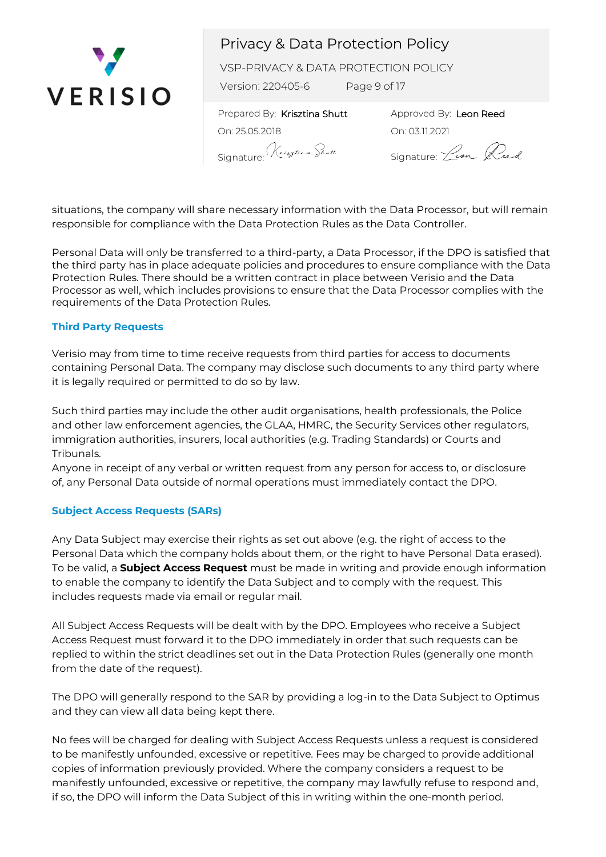

VSP-PRIVACY & DATA PROTECTION POLICY

Version: 220405-6 Page 9 of 17

 Prepared By: Krisztina Shutt On: 25.05.2018 Signature: Krytenn Shutt

Approved By: Leon Reed On: 03.11.2021

Signature: *Lean* Reed

situations, the company will share necessary information with the Data Processor, but will remain responsible for compliance with the Data Protection Rules as the Data Controller.

Personal Data will only be transferred to a third-party, a Data Processor, if the DPO is satisfied that the third party has in place adequate policies and procedures to ensure compliance with the Data Protection Rules. There should be a written contract in place between Verisio and the Data Processor as well, which includes provisions to ensure that the Data Processor complies with the requirements of the Data Protection Rules.

### **Third Party Requests**

Verisio may from time to time receive requests from third parties for access to documents containing Personal Data. The company may disclose such documents to any third party where it is legally required or permitted to do so by law.

Such third parties may include the other audit organisations, health professionals, the Police and other law enforcement agencies, the GLAA, HMRC, the Security Services other regulators, immigration authorities, insurers, local authorities (e.g. Trading Standards) or Courts and Tribunals.

Anyone in receipt of any verbal or written request from any person for access to, or disclosure of, any Personal Data outside of normal operations must immediately contact the DPO.

### **Subject Access Requests (SARs)**

Any Data Subject may exercise their rights as set out above (e.g. the right of access to the Personal Data which the company holds about them, or the right to have Personal Data erased). To be valid, a **Subject Access Request** must be made in writing and provide enough information to enable the company to identify the Data Subject and to comply with the request. This includes requests made via email or regular mail.

All Subject Access Requests will be dealt with by the DPO. Employees who receive a Subject Access Request must forward it to the DPO immediately in order that such requests can be replied to within the strict deadlines set out in the Data Protection Rules (generally one month from the date of the request).

The DPO will generally respond to the SAR by providing a log-in to the Data Subject to Optimus and they can view all data being kept there.

No fees will be charged for dealing with Subject Access Requests unless a request is considered to be manifestly unfounded, excessive or repetitive. Fees may be charged to provide additional copies of information previously provided. Where the company considers a request to be manifestly unfounded, excessive or repetitive, the company may lawfully refuse to respond and, if so, the DPO will inform the Data Subject of this in writing within the one-month period.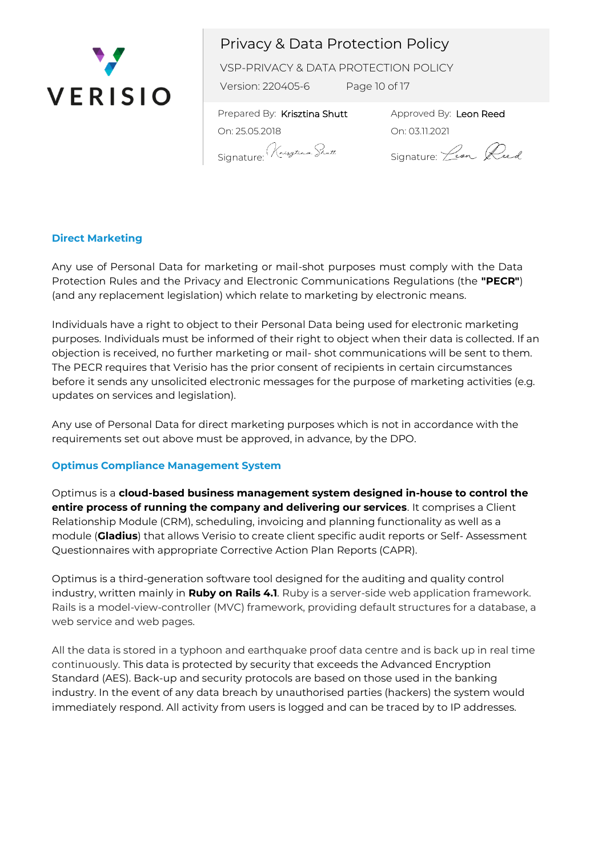

VSP-PRIVACY & DATA PROTECTION POLICY

Version: 220405-6 Page 10 of 17

 Prepared By: Krisztina Shutt On: 25.05.2018 Signature: Krythan Shutt

Approved By: Leon Reed On: 03.11.2021

Signature: *Lean* Reed

### **Direct Marketing**

Any use of Personal Data for marketing or mail-shot purposes must comply with the Data Protection Rules and the Privacy and Electronic Communications Regulations (the **"PECR"**) (and any replacement legislation) which relate to marketing by electronic means.

Individuals have a right to object to their Personal Data being used for electronic marketing purposes. Individuals must be informed of their right to object when their data is collected. If an objection is received, no further marketing or mail- shot communications will be sent to them. The PECR requires that Verisio has the prior consent of recipients in certain circumstances before it sends any unsolicited electronic messages for the purpose of marketing activities (e.g. updates on services and legislation).

Any use of Personal Data for direct marketing purposes which is not in accordance with the requirements set out above must be approved, in advance, by the DPO.

### **Optimus Compliance Management System**

Optimus is a **cloud-based business management system designed in-house to control the entire process of running the company and delivering our services**. It comprises a Client Relationship Module (CRM), scheduling, invoicing and planning functionality as well as a module (**Gladius**) that allows Verisio to create client specific audit reports or Self- Assessment Questionnaires with appropriate Corrective Action Plan Reports (CAPR).

Optimus is a third-generation software tool designed for the auditing and quality control industry, written mainly in **Ruby on Rails 4.1**. Ruby is a server-side web application framework. Rails is a model-view-controller (MVC) framework, providing default structures for a database, a web service and web pages.

All the data is stored in a typhoon and earthquake proof data centre and is back up in real time continuously. This data is protected by security that exceeds the Advanced Encryption Standard (AES). Back-up and security protocols are based on those used in the banking industry. In the event of any data breach by unauthorised parties (hackers) the system would immediately respond. All activity from users is logged and can be traced by to IP addresses.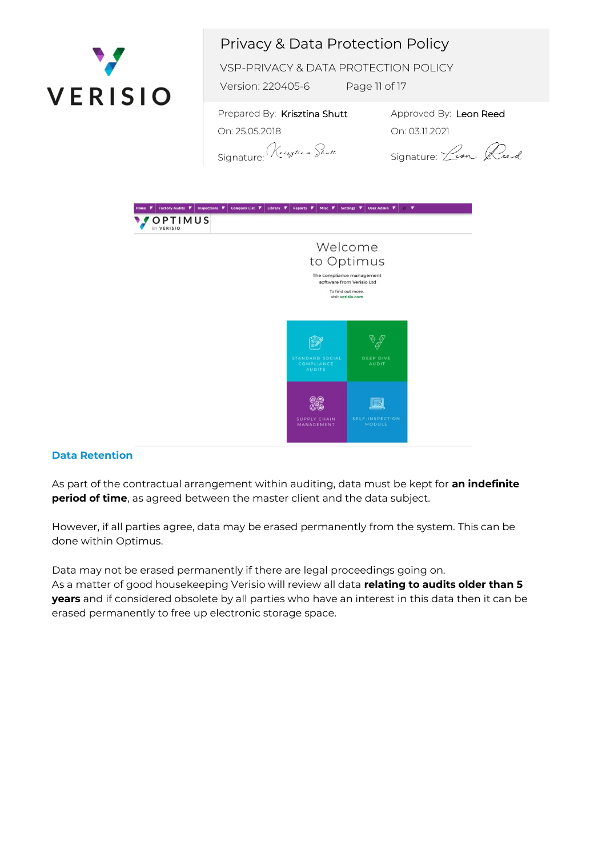

VSP-PRIVACY & DATA PROTECTION POLICY

Version: 220405-6 Page 11 of 17

 Prepared By: Krisztina Shutt On: 25.05.2018

Approved By: Leon Reed On: 03.11.2021

Signature: Krystern Scott

Signature: *Lean* Reed



## **Data Retention**

As part of the contractual arrangement within auditing, data must be kept for **an indefinite period of time**, as agreed between the master client and the data subject.

However, if all parties agree, data may be erased permanently from the system. This can be done within Optimus.

Data may not be erased permanently if there are legal proceedings going on. As a matter of good housekeeping Verisio will review all data **relating to audits older than 5 years** and if considered obsolete by all parties who have an interest in this data then it can be erased permanently to free up electronic storage space.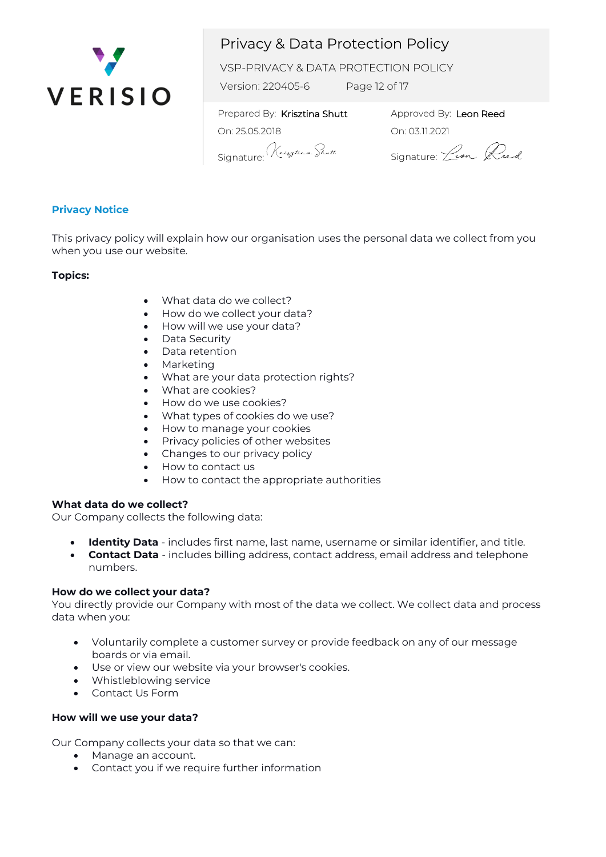

VSP-PRIVACY & DATA PROTECTION POLICY

Version: 220405-6 Page 12 of 17

 Prepared By: Krisztina Shutt On: 25.05.2018 Signature: Krythan Shutt

Approved By: Leon Reed On: 03.11.2021

Signature: *Leon* Reed

### **Privacy Notice**

This privacy policy will explain how our organisation uses the personal data we collect from you when you use our website.

### **Topics:**

- What data do we collect?
- How do we collect your data?
- How will we use your data?
- Data Security
- Data retention
- **Marketing**
- What are your data protection rights?
- What are cookies?
- How do we use cookies?
- What types of cookies do we use?
- How to manage your cookies
- Privacy policies of other websites
- Changes to our privacy policy
- How to contact us
- How to contact the appropriate authorities

#### **What data do we collect?**

Our Company collects the following data:

- **Identity Data** includes first name, last name, username or similar identifier, and title.
- **Contact Data** includes billing address, contact address, email address and telephone numbers.

#### **How do we collect your data?**

You directly provide our Company with most of the data we collect. We collect data and process data when you:

- Voluntarily complete a customer survey or provide feedback on any of our message boards or via email.
- Use or view our website via your browser's cookies.
- Whistleblowing service
- Contact Us Form

### **How will we use your data?**

Our Company collects your data so that we can:

- Manage an account.
- Contact you if we require further information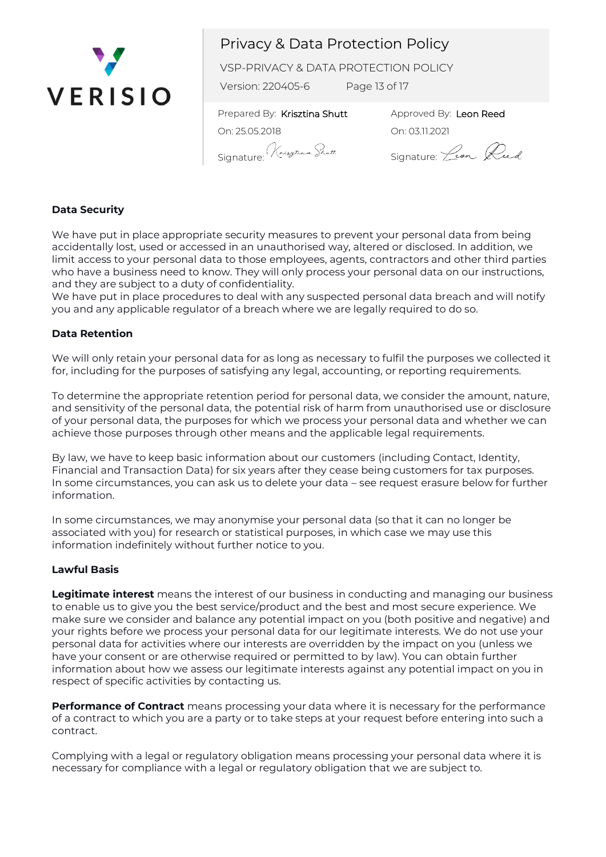

VSP-PRIVACY & DATA PROTECTION POLICY

Version: 220405-6 Page 13 of 17

 Prepared By: Krisztina Shutt On: 25.05.2018 Signature: Krytenn Shutt

Approved By: Leon Reed On: 03.11.2021

Signature: *Leon Reed* 

### **Data Security**

We have put in place appropriate security measures to prevent your personal data from being accidentally lost, used or accessed in an unauthorised way, altered or disclosed. In addition, we limit access to your personal data to those employees, agents, contractors and other third parties who have a business need to know. They will only process your personal data on our instructions, and they are subject to a duty of confidentiality.

We have put in place procedures to deal with any suspected personal data breach and will notify you and any applicable regulator of a breach where we are legally required to do so.

### **Data Retention**

We will only retain your personal data for as long as necessary to fulfil the purposes we collected it for, including for the purposes of satisfying any legal, accounting, or reporting requirements.

To determine the appropriate retention period for personal data, we consider the amount, nature, and sensitivity of the personal data, the potential risk of harm from unauthorised use or disclosure of your personal data, the purposes for which we process your personal data and whether we can achieve those purposes through other means and the applicable legal requirements.

By law, we have to keep basic information about our customers (including Contact, Identity, Financial and Transaction Data) for six years after they cease being customers for tax purposes. In some circumstances, you can ask us to delete your data – see request erasure below for further information.

In some circumstances, we may anonymise your personal data (so that it can no longer be associated with you) for research or statistical purposes, in which case we may use this information indefinitely without further notice to you.

#### **Lawful Basis**

**Legitimate interest** means the interest of our business in conducting and managing our business to enable us to give you the best service/product and the best and most secure experience. We make sure we consider and balance any potential impact on you (both positive and negative) and your rights before we process your personal data for our legitimate interests. We do not use your personal data for activities where our interests are overridden by the impact on you (unless we have your consent or are otherwise required or permitted to by law). You can obtain further information about how we assess our legitimate interests against any potential impact on you in respect of specific activities by contacting us.

**Performance of Contract** means processing your data where it is necessary for the performance of a contract to which you are a party or to take steps at your request before entering into such a contract.

Complying with a legal or regulatory obligation means processing your personal data where it is necessary for compliance with a legal or regulatory obligation that we are subject to.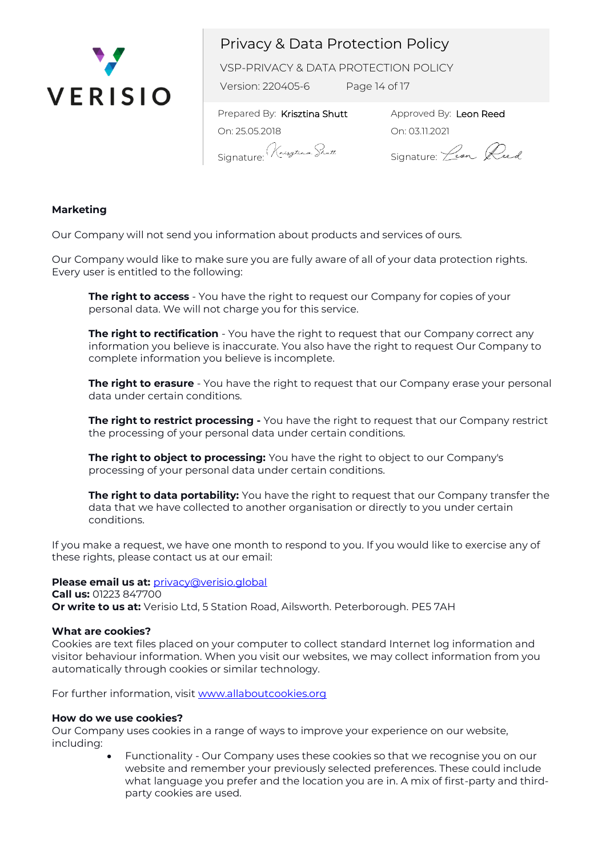

VSP-PRIVACY & DATA PROTECTION POLICY

Version: 220405-6 Page 14 of 17

 Prepared By: Krisztina Shutt On: 25.05.2018 Signature: Krytham Shutt

Approved By: Leon Reed On: 03.11.2021

Signature: *Lean* Reed

### **Marketing**

Our Company will not send you information about products and services of ours.

Our Company would like to make sure you are fully aware of all of your data protection rights. Every user is entitled to the following:

**The right to access** - You have the right to request our Company for copies of your personal data. We will not charge you for this service.

**The right to rectification** - You have the right to request that our Company correct any information you believe is inaccurate. You also have the right to request Our Company to complete information you believe is incomplete.

**The right to erasure** - You have the right to request that our Company erase your personal data under certain conditions.

**The right to restrict processing -** You have the right to request that our Company restrict the processing of your personal data under certain conditions.

**The right to object to processing:** You have the right to object to our Company's processing of your personal data under certain conditions.

**The right to data portability:** You have the right to request that our Company transfer the data that we have collected to another organisation or directly to you under certain conditions.

If you make a request, we have one month to respond to you. If you would like to exercise any of these rights, please contact us at our email:

**Please email us at:** [privacy@verisio.global](mailto:privacy@verisio.global) **Call us:** 01223 847700 **Or write to us at:** Verisio Ltd, 5 Station Road, Ailsworth. Peterborough. PE5 7AH

#### **What are cookies?**

Cookies are text files placed on your computer to collect standard Internet log information and visitor behaviour information. When you visit our websites, we may collect information from you automatically through cookies or similar technology.

For further information, visit www.allaboutcookies.org

#### **How do we use cookies?**

Our Company uses cookies in a range of ways to improve your experience on our website, including:

> • Functionality - Our Company uses these cookies so that we recognise you on our website and remember your previously selected preferences. These could include what language you prefer and the location you are in. A mix of first-party and thirdparty cookies are used.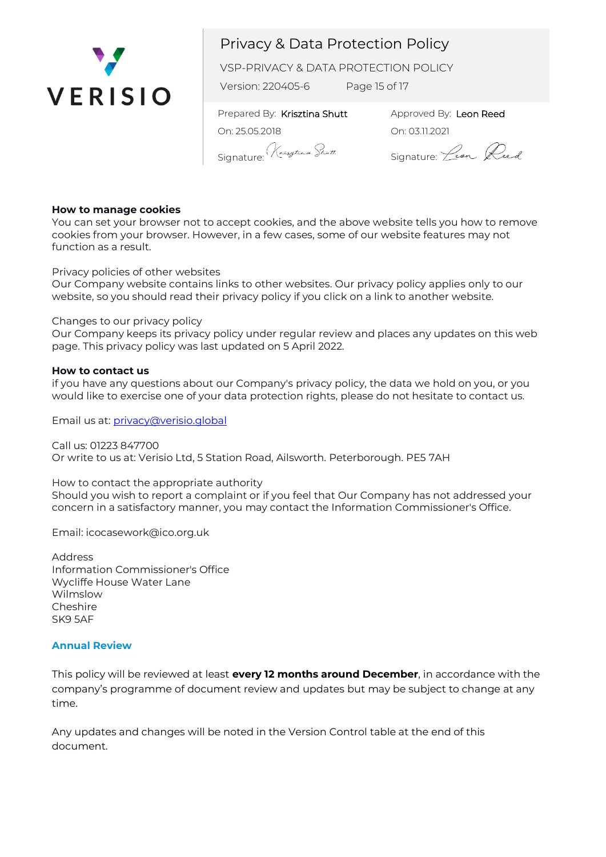

VSP-PRIVACY & DATA PROTECTION POLICY

Version: 220405-6 Page 15 of 17

 Prepared By: Krisztina Shutt On: 25.05.2018 Signature: Krythan Shutt

Approved By: Leon Reed On: 03.11.2021

Signature: *Leon* Reed

### **How to manage cookies**

You can set your browser not to accept cookies, and the above website tells you how to remove cookies from your browser. However, in a few cases, some of our website features may not function as a result.

Privacy policies of other websites

Our Company website contains links to other websites. Our privacy policy applies only to our website, so you should read their privacy policy if you click on a link to another website.

### Changes to our privacy policy

Our Company keeps its privacy policy under regular review and places any updates on this web page. This privacy policy was last updated on 5 April 2022.

#### **How to contact us**

if you have any questions about our Company's privacy policy, the data we hold on you, or you would like to exercise one of your data protection rights, please do not hesitate to contact us.

Email us at: [privacy@verisio.global](mailto:privacy@verisio.global)

Call us: 01223 847700 Or write to us at: Verisio Ltd, 5 Station Road, Ailsworth. Peterborough. PE5 7AH

How to contact the appropriate authority Should you wish to report a complaint or if you feel that Our Company has not addressed your concern in a satisfactory manner, you may contact the Information Commissioner's Office.

Email: icocasework@ico.org.uk

Address Information Commissioner's Office Wycliffe House Water Lane Wilmslow Cheshire SK9 5AF

### **Annual Review**

This policy will be reviewed at least **every 12 months around December**, in accordance with the company's programme of document review and updates but may be subject to change at any time.

Any updates and changes will be noted in the Version Control table at the end of this document.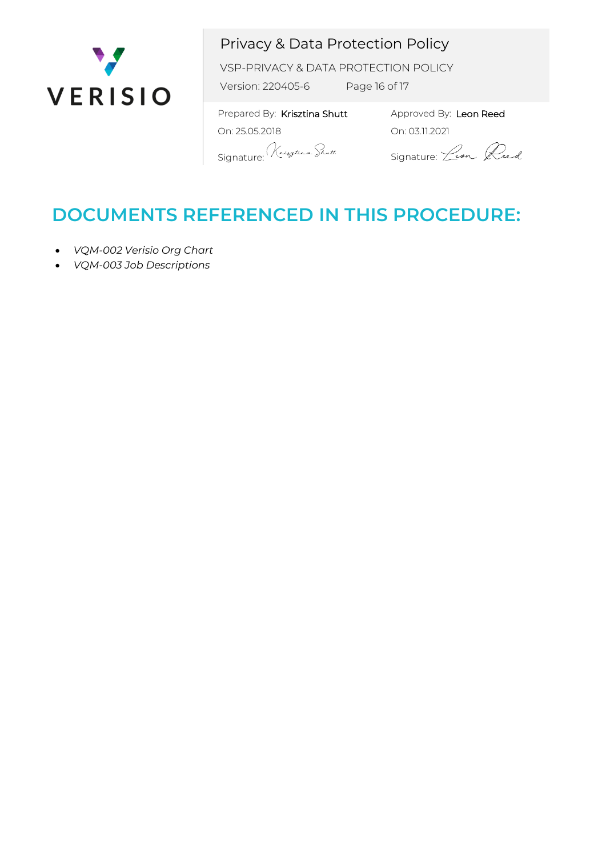

VSP-PRIVACY & DATA PROTECTION POLICY

Version: 220405-6 Page 16 of 17

 Prepared By: Krisztina Shutt On: 25.05.2018 Signature: Kneystern Shutt

Approved By: Leon Reed On: 03.11.2021

Signature: *Leon* Reed

# **DOCUMENTS REFERENCED IN THIS PROCEDURE:**

- *VQM-002 Verisio Org Chart*
- *VQM-003 Job Descriptions*